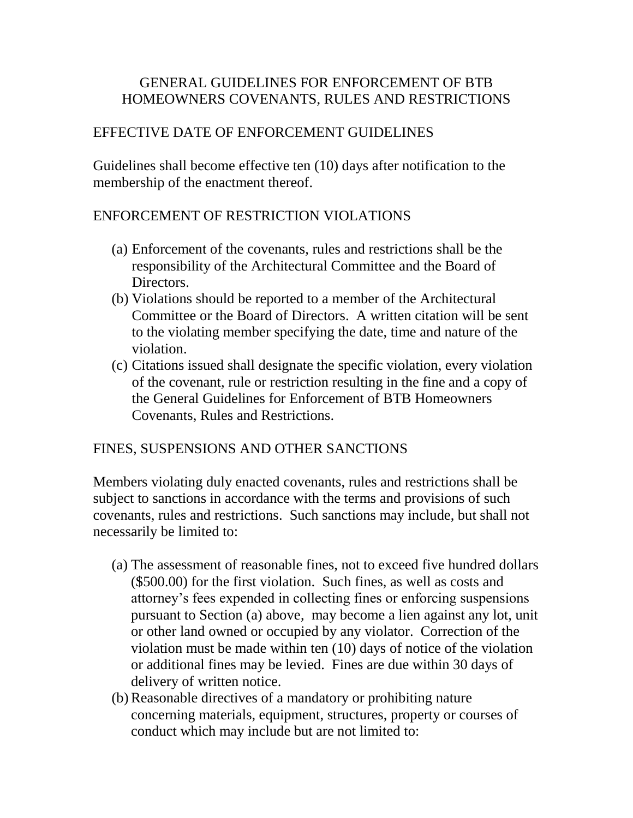#### GENERAL GUIDELINES FOR ENFORCEMENT OF BTB HOMEOWNERS COVENANTS, RULES AND RESTRICTIONS

# EFFECTIVE DATE OF ENFORCEMENT GUIDELINES

Guidelines shall become effective ten (10) days after notification to the membership of the enactment thereof.

## ENFORCEMENT OF RESTRICTION VIOLATIONS

- (a) Enforcement of the covenants, rules and restrictions shall be the responsibility of the Architectural Committee and the Board of Directors.
- (b) Violations should be reported to a member of the Architectural Committee or the Board of Directors. A written citation will be sent to the violating member specifying the date, time and nature of the violation.
- (c) Citations issued shall designate the specific violation, every violation of the covenant, rule or restriction resulting in the fine and a copy of the General Guidelines for Enforcement of BTB Homeowners Covenants, Rules and Restrictions.

#### FINES, SUSPENSIONS AND OTHER SANCTIONS

Members violating duly enacted covenants, rules and restrictions shall be subject to sanctions in accordance with the terms and provisions of such covenants, rules and restrictions. Such sanctions may include, but shall not necessarily be limited to:

- (a) The assessment of reasonable fines, not to exceed five hundred dollars (\$500.00) for the first violation. Such fines, as well as costs and attorney's fees expended in collecting fines or enforcing suspensions pursuant to Section (a) above, may become a lien against any lot, unit or other land owned or occupied by any violator. Correction of the violation must be made within ten (10) days of notice of the violation or additional fines may be levied. Fines are due within 30 days of delivery of written notice.
- (b)Reasonable directives of a mandatory or prohibiting nature concerning materials, equipment, structures, property or courses of conduct which may include but are not limited to: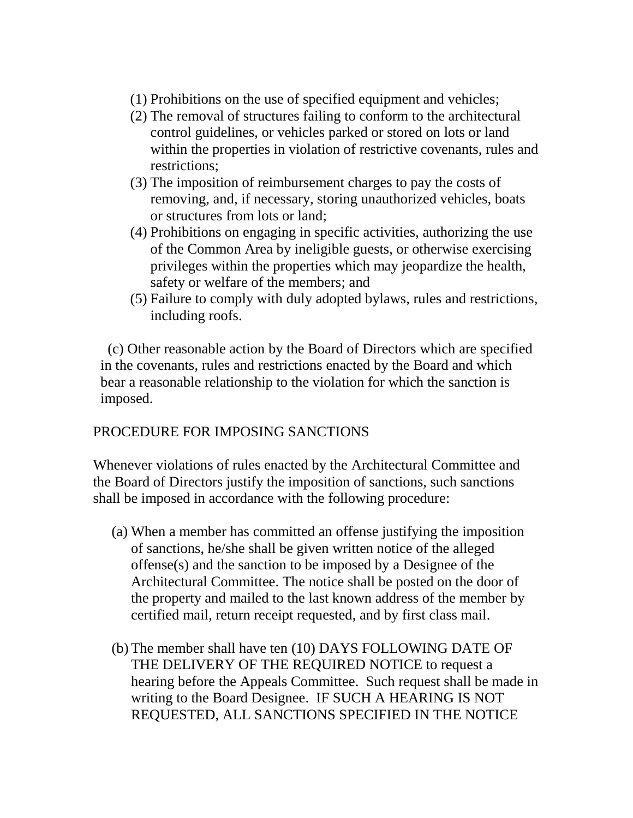- (1) Prohibitions on the use of specified equipment and vehicles;
- (2) The removal of structures failing to conform to the architectural control guidelines, or vehicles parked or stored on lots or land within the properties in violation of restrictive covenants, rules and restrictions;
- (3) The imposition of reimbursement charges to pay the costs of removing, and, if necessary, storing unauthorized vehicles, boats or structures from lots or land;
- (4) Prohibitions on engaging in specific activities, authorizing the use of the Common Area by ineligible guests, or otherwise exercising privileges within the properties which may jeopardize the health, safety or welfare of the members; and
- (5) Failure to comply with duly adopted bylaws, rules and restrictions, including roofs.

 (c) Other reasonable action by the Board of Directors which are specified in the covenants, rules and restrictions enacted by the Board and which bear a reasonable relationship to the violation for which the sanction is imposed.

# PROCEDURE FOR IMPOSING SANCTIONS

Whenever violations of rules enacted by the Architectural Committee and the Board of Directors justify the imposition of sanctions, such sanctions shall be imposed in accordance with the following procedure:

- (a) When a member has committed an offense justifying the imposition of sanctions, he/she shall be given written notice of the alleged offense(s) and the sanction to be imposed by a Designee of the Architectural Committee. The notice shall be posted on the door of the property and mailed to the last known address of the member by certified mail, return receipt requested, and by first class mail.
- (b) The member shall have ten (10) DAYS FOLLOWING DATE OF THE DELIVERY OF THE REQUIRED NOTICE to request a hearing before the Appeals Committee. Such request shall be made in writing to the Board Designee. IF SUCH A HEARING IS NOT REQUESTED, ALL SANCTIONS SPECIFIED IN THE NOTICE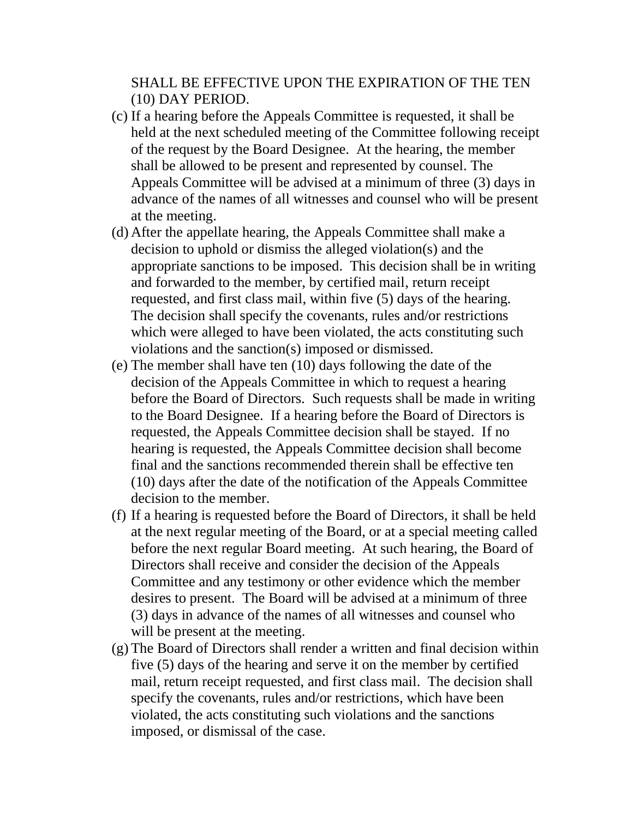#### SHALL BE EFFECTIVE UPON THE EXPIRATION OF THE TEN (10) DAY PERIOD.

- (c) If a hearing before the Appeals Committee is requested, it shall be held at the next scheduled meeting of the Committee following receipt of the request by the Board Designee. At the hearing, the member shall be allowed to be present and represented by counsel. The Appeals Committee will be advised at a minimum of three (3) days in advance of the names of all witnesses and counsel who will be present at the meeting.
- (d) After the appellate hearing, the Appeals Committee shall make a decision to uphold or dismiss the alleged violation(s) and the appropriate sanctions to be imposed. This decision shall be in writing and forwarded to the member, by certified mail, return receipt requested, and first class mail, within five (5) days of the hearing. The decision shall specify the covenants, rules and/or restrictions which were alleged to have been violated, the acts constituting such violations and the sanction(s) imposed or dismissed.
- (e) The member shall have ten (10) days following the date of the decision of the Appeals Committee in which to request a hearing before the Board of Directors. Such requests shall be made in writing to the Board Designee. If a hearing before the Board of Directors is requested, the Appeals Committee decision shall be stayed. If no hearing is requested, the Appeals Committee decision shall become final and the sanctions recommended therein shall be effective ten (10) days after the date of the notification of the Appeals Committee decision to the member.
- (f) If a hearing is requested before the Board of Directors, it shall be held at the next regular meeting of the Board, or at a special meeting called before the next regular Board meeting. At such hearing, the Board of Directors shall receive and consider the decision of the Appeals Committee and any testimony or other evidence which the member desires to present. The Board will be advised at a minimum of three (3) days in advance of the names of all witnesses and counsel who will be present at the meeting.
- (g) The Board of Directors shall render a written and final decision within five (5) days of the hearing and serve it on the member by certified mail, return receipt requested, and first class mail. The decision shall specify the covenants, rules and/or restrictions, which have been violated, the acts constituting such violations and the sanctions imposed, or dismissal of the case.